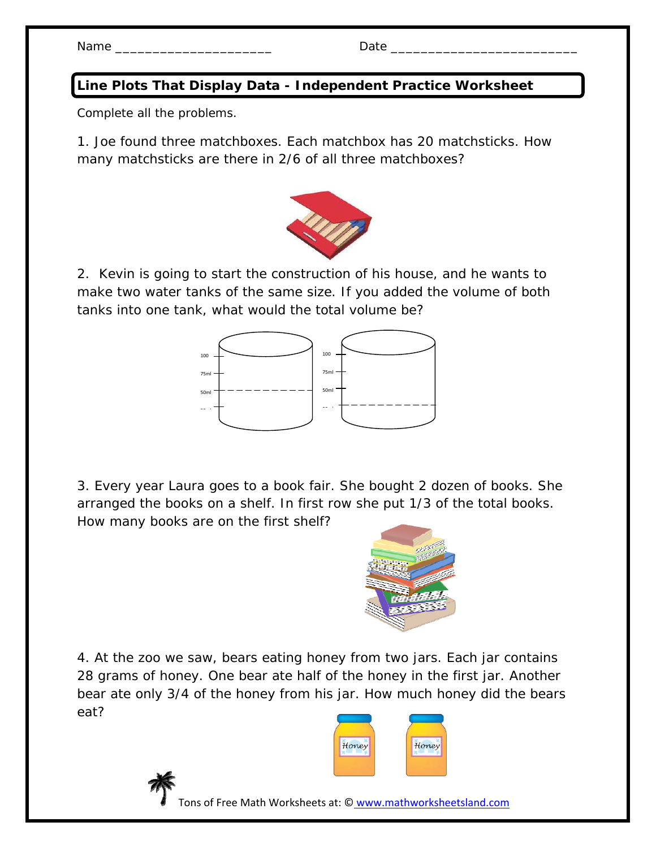Name \_\_\_\_\_\_\_\_\_\_\_\_\_\_\_\_\_\_\_\_\_ Date \_\_\_\_\_\_\_\_\_\_\_\_\_\_\_\_\_\_\_\_\_\_\_\_\_

## **Line Plots That Display Data - Independent Practice Worksheet**

Complete all the problems.

1. Joe found three matchboxes. Each matchbox has 20 matchsticks. How many matchsticks are there in 2/6 of all three matchboxes?



2. Kevin is going to start the construction of his house, and he wants to make two water tanks of the same size. If you added the volume of both tanks into one tank, what would the total volume be?



3. Every year Laura goes to a book fair. She bought 2 dozen of books. She arranged the books on a shelf. In first row she put 1/3 of the total books. How many books are on the first shelf?



4. At the zoo we saw, bears eating honey from two jars. Each jar contains 28 grams of honey. One bear ate half of the honey in the first jar. Another bear ate only 3/4 of the honey from his jar. How much honey did the bears eat?





Tons of Free Math Worksheets at: © www.mathworksheetsland.com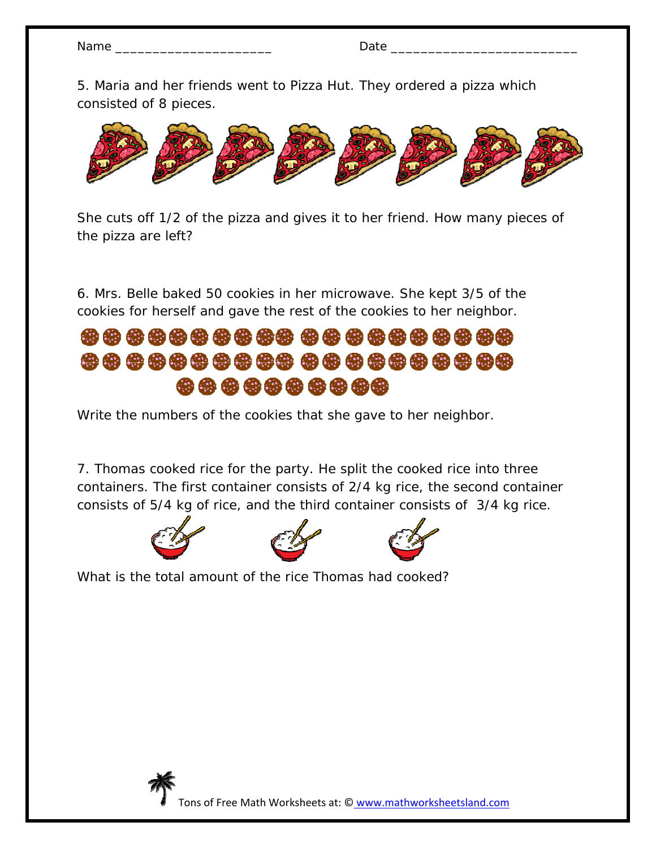| Nar<br>$-1$ |  |
|-------------|--|
|             |  |

5. Maria and her friends went to Pizza Hut. They ordered a pizza which consisted of 8 pieces.



She cuts off 1/2 of the pizza and gives it to her friend. How many pieces of the pizza are left?

6. Mrs. Belle baked 50 cookies in her microwave. She kept 3/5 of the cookies for herself and gave the rest of the cookies to her neighbor.

## \*\*\*\*\*\*\*\*\*\*\*\*\*\*\*\*\*\*\*\* \*\*\*\*\*\*\*\*\*\*

Write the numbers of the cookies that she gave to her neighbor.

7. Thomas cooked rice for the party. He split the cooked rice into three containers. The first container consists of 2/4 kg rice, the second container consists of 5/4 kg of rice, and the third container consists of 3/4 kg rice.







What is the total amount of the rice Thomas had cooked?